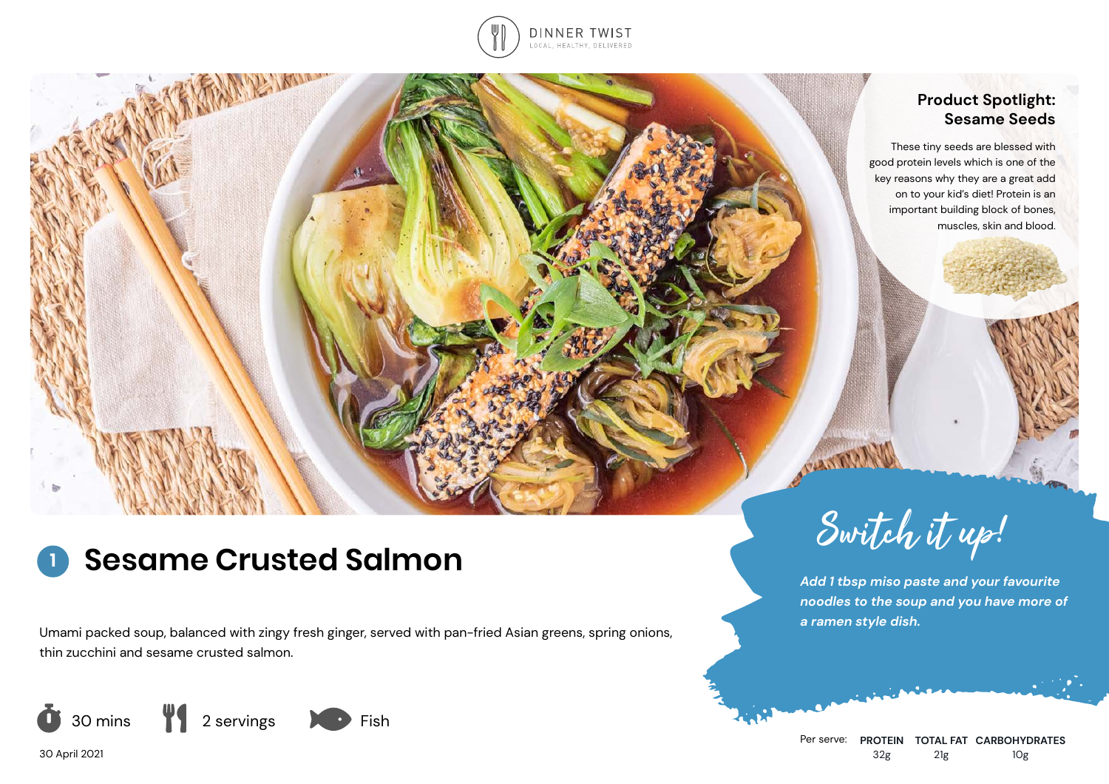

## **Product Spotlight: Sesame Seeds**

These tiny seeds are blessed with good protein levels which is one of the key reasons why they are a great add on to your kid's diet! Protein is an important building block of bones, muscles, skin and blood.

# **1**

Umami packed soup, balanced with zingy fresh ginger, served with pan-fried Asian greens, spring onions, thin zucchini and sesame crusted salmon.



30 April 2021



*Add 1 tbsp miso paste and your favourite noodles to the soup and you have more of a ramen style dish.*